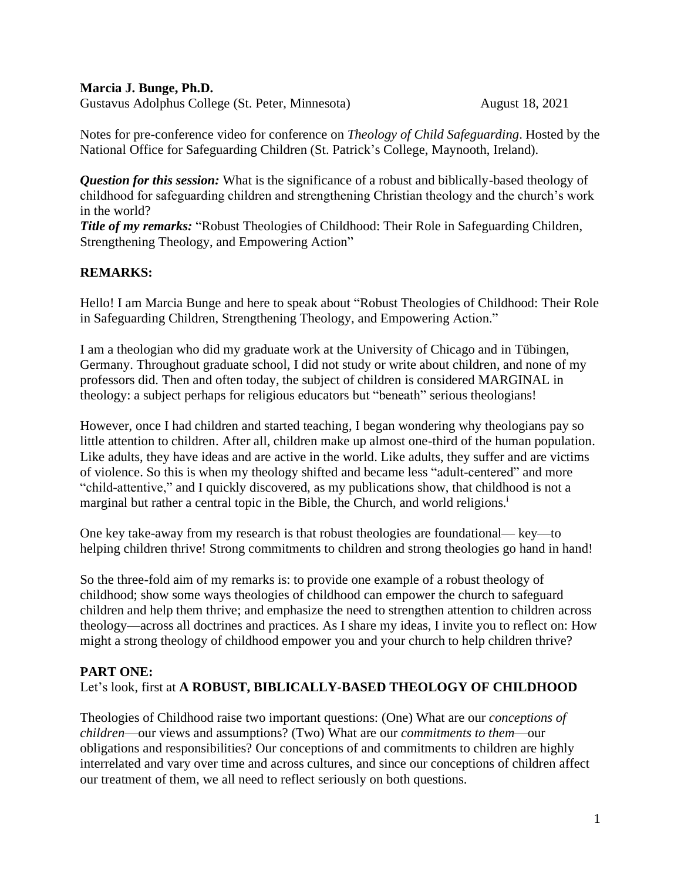#### **Marcia J. Bunge, Ph.D.**

Gustavus Adolphus College (St. Peter, Minnesota) August 18, 2021

Notes for pre-conference video for conference on *Theology of Child Safeguarding*. Hosted by the National Office for Safeguarding Children (St. Patrick's College, Maynooth, Ireland).

*Question for this session:* What is the significance of a robust and biblically-based theology of childhood for safeguarding children and strengthening Christian theology and the church's work in the world?

*Title of my remarks:* "Robust Theologies of Childhood: Their Role in Safeguarding Children, Strengthening Theology, and Empowering Action"

# **REMARKS:**

Hello! I am Marcia Bunge and here to speak about "Robust Theologies of Childhood: Their Role in Safeguarding Children, Strengthening Theology, and Empowering Action."

I am a theologian who did my graduate work at the University of Chicago and in Tübingen, Germany. Throughout graduate school, I did not study or write about children, and none of my professors did. Then and often today, the subject of children is considered MARGINAL in theology: a subject perhaps for religious educators but "beneath" serious theologians!

However, once I had children and started teaching, I began wondering why theologians pay so little attention to children. After all, children make up almost one-third of the human population. Like adults, they have ideas and are active in the world. Like adults, they suffer and are victims of violence. So this is when my theology shifted and became less "adult-centered" and more "child-attentive," and I quickly discovered, as my publications show, that childhood is not a marginal but rather a central topic in the Bible, the Church, and world religions.<sup>i</sup>

One key take-away from my research is that robust theologies are foundational— key—to helping children thrive! Strong commitments to children and strong theologies go hand in hand!

So the three-fold aim of my remarks is: to provide one example of a robust theology of childhood; show some ways theologies of childhood can empower the church to safeguard children and help them thrive; and emphasize the need to strengthen attention to children across theology—across all doctrines and practices. As I share my ideas, I invite you to reflect on: How might a strong theology of childhood empower you and your church to help children thrive?

## **PART ONE:**

Let's look, first at **A ROBUST, BIBLICALLY-BASED THEOLOGY OF CHILDHOOD**

Theologies of Childhood raise two important questions: (One) What are our *conceptions of children*—our views and assumptions? (Two) What are our *commitments to them*—our obligations and responsibilities? Our conceptions of and commitments to children are highly interrelated and vary over time and across cultures, and since our conceptions of children affect our treatment of them, we all need to reflect seriously on both questions.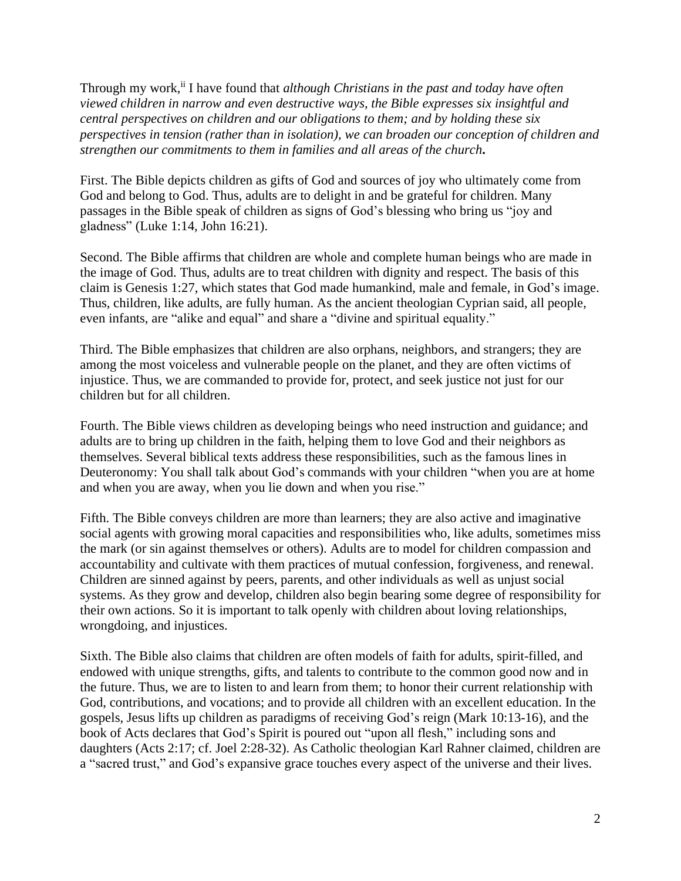Through my work,ii I have found that *although Christians in the past and today have often viewed children in narrow and even destructive ways, the Bible expresses six insightful and central perspectives on children and our obligations to them; and by holding these six perspectives in tension (rather than in isolation), we can broaden our conception of children and strengthen our commitments to them in families and all areas of the church***.**

First. The Bible depicts children as gifts of God and sources of joy who ultimately come from God and belong to God. Thus, adults are to delight in and be grateful for children. Many passages in the Bible speak of children as signs of God's blessing who bring us "joy and gladness" (Luke 1:14, John 16:21).

Second. The Bible affirms that children are whole and complete human beings who are made in the image of God. Thus, adults are to treat children with dignity and respect. The basis of this claim is Genesis 1:27, which states that God made humankind, male and female, in God's image. Thus, children, like adults, are fully human. As the ancient theologian Cyprian said, all people, even infants, are "alike and equal" and share a "divine and spiritual equality."

Third. The Bible emphasizes that children are also orphans, neighbors, and strangers; they are among the most voiceless and vulnerable people on the planet, and they are often victims of injustice. Thus, we are commanded to provide for, protect, and seek justice not just for our children but for all children.

Fourth. The Bible views children as developing beings who need instruction and guidance; and adults are to bring up children in the faith, helping them to love God and their neighbors as themselves. Several biblical texts address these responsibilities, such as the famous lines in Deuteronomy: You shall talk about God's commands with your children "when you are at home and when you are away, when you lie down and when you rise."

Fifth. The Bible conveys children are more than learners; they are also active and imaginative social agents with growing moral capacities and responsibilities who, like adults, sometimes miss the mark (or sin against themselves or others). Adults are to model for children compassion and accountability and cultivate with them practices of mutual confession, forgiveness, and renewal. Children are sinned against by peers, parents, and other individuals as well as unjust social systems. As they grow and develop, children also begin bearing some degree of responsibility for their own actions. So it is important to talk openly with children about loving relationships, wrongdoing, and injustices.

Sixth. The Bible also claims that children are often models of faith for adults, spirit-filled, and endowed with unique strengths, gifts, and talents to contribute to the common good now and in the future. Thus, we are to listen to and learn from them; to honor their current relationship with God, contributions, and vocations; and to provide all children with an excellent education. In the gospels, Jesus lifts up children as paradigms of receiving God's reign (Mark 10:13-16), and the book of Acts declares that God's Spirit is poured out "upon all flesh," including sons and daughters (Acts 2:17; cf. Joel 2:28-32). As Catholic theologian Karl Rahner claimed, children are a "sacred trust," and God's expansive grace touches every aspect of the universe and their lives.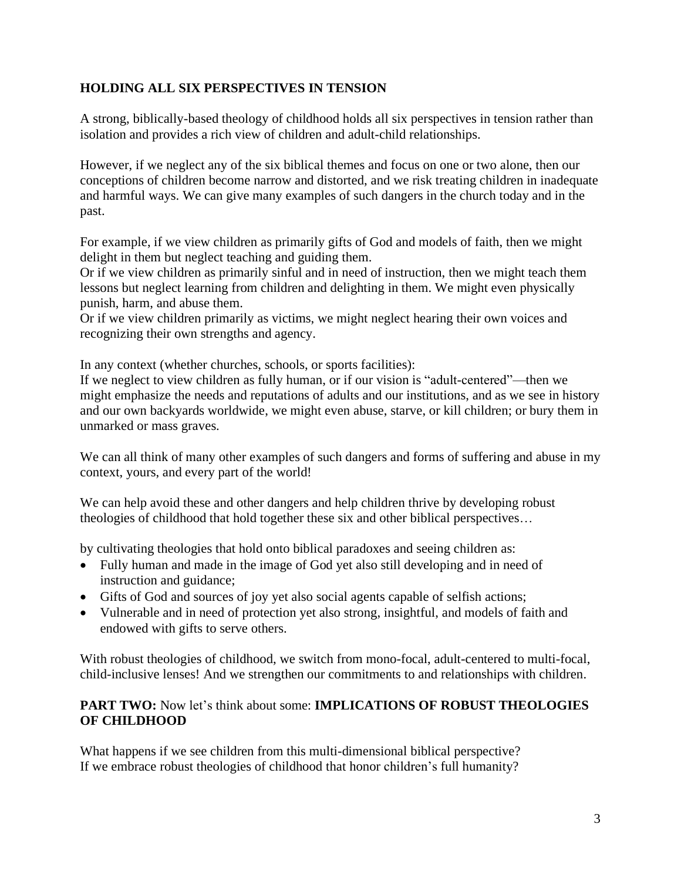## **HOLDING ALL SIX PERSPECTIVES IN TENSION**

A strong, biblically-based theology of childhood holds all six perspectives in tension rather than isolation and provides a rich view of children and adult-child relationships.

However, if we neglect any of the six biblical themes and focus on one or two alone, then our conceptions of children become narrow and distorted, and we risk treating children in inadequate and harmful ways. We can give many examples of such dangers in the church today and in the past.

For example, if we view children as primarily gifts of God and models of faith, then we might delight in them but neglect teaching and guiding them.

Or if we view children as primarily sinful and in need of instruction, then we might teach them lessons but neglect learning from children and delighting in them. We might even physically punish, harm, and abuse them.

Or if we view children primarily as victims, we might neglect hearing their own voices and recognizing their own strengths and agency.

In any context (whether churches, schools, or sports facilities):

If we neglect to view children as fully human, or if our vision is "adult-centered"—then we might emphasize the needs and reputations of adults and our institutions, and as we see in history and our own backyards worldwide, we might even abuse, starve, or kill children; or bury them in unmarked or mass graves.

We can all think of many other examples of such dangers and forms of suffering and abuse in my context, yours, and every part of the world!

We can help avoid these and other dangers and help children thrive by developing robust theologies of childhood that hold together these six and other biblical perspectives…

by cultivating theologies that hold onto biblical paradoxes and seeing children as:

- Fully human and made in the image of God yet also still developing and in need of instruction and guidance;
- Gifts of God and sources of joy yet also social agents capable of selfish actions;
- Vulnerable and in need of protection yet also strong, insightful, and models of faith and endowed with gifts to serve others.

With robust theologies of childhood, we switch from mono-focal, adult-centered to multi-focal, child-inclusive lenses! And we strengthen our commitments to and relationships with children.

### **PART TWO:** Now let's think about some: **IMPLICATIONS OF ROBUST THEOLOGIES OF CHILDHOOD**

What happens if we see children from this multi-dimensional biblical perspective? If we embrace robust theologies of childhood that honor children's full humanity?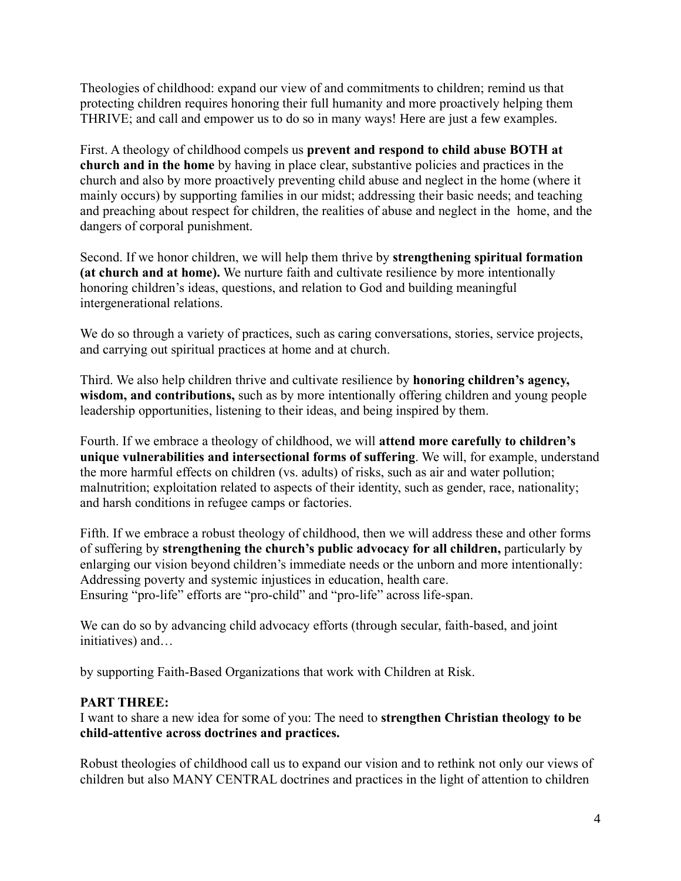Theologies of childhood: expand our view of and commitments to children; remind us that protecting children requires honoring their full humanity and more proactively helping them THRIVE; and call and empower us to do so in many ways! Here are just a few examples.

First. A theology of childhood compels us **prevent and respond to child abuse BOTH at church and in the home** by having in place clear, substantive policies and practices in the church and also by more proactively preventing child abuse and neglect in the home (where it mainly occurs) by supporting families in our midst; addressing their basic needs; and teaching and preaching about respect for children, the realities of abuse and neglect in the home, and the dangers of corporal punishment.

Second. If we honor children, we will help them thrive by **strengthening spiritual formation (at church and at home).** We nurture faith and cultivate resilience by more intentionally honoring children's ideas, questions, and relation to God and building meaningful intergenerational relations.

We do so through a variety of practices, such as caring conversations, stories, service projects, and carrying out spiritual practices at home and at church.

Third. We also help children thrive and cultivate resilience by **honoring children's agency, wisdom, and contributions,** such as by more intentionally offering children and young people leadership opportunities, listening to their ideas, and being inspired by them.

Fourth. If we embrace a theology of childhood, we will **attend more carefully to children's unique vulnerabilities and intersectional forms of suffering**. We will, for example, understand the more harmful effects on children (vs. adults) of risks, such as air and water pollution; malnutrition; exploitation related to aspects of their identity, such as gender, race, nationality; and harsh conditions in refugee camps or factories.

Fifth. If we embrace a robust theology of childhood, then we will address these and other forms of suffering by **strengthening the church's public advocacy for all children,** particularly by enlarging our vision beyond children's immediate needs or the unborn and more intentionally: Addressing poverty and systemic injustices in education, health care. Ensuring "pro-life" efforts are "pro-child" and "pro-life" across life-span.

We can do so by advancing child advocacy efforts (through secular, faith-based, and joint initiatives) and…

by supporting Faith-Based Organizations that work with Children at Risk.

## **PART THREE:**

I want to share a new idea for some of you: The need to **strengthen Christian theology to be child-attentive across doctrines and practices.**

Robust theologies of childhood call us to expand our vision and to rethink not only our views of children but also MANY CENTRAL doctrines and practices in the light of attention to children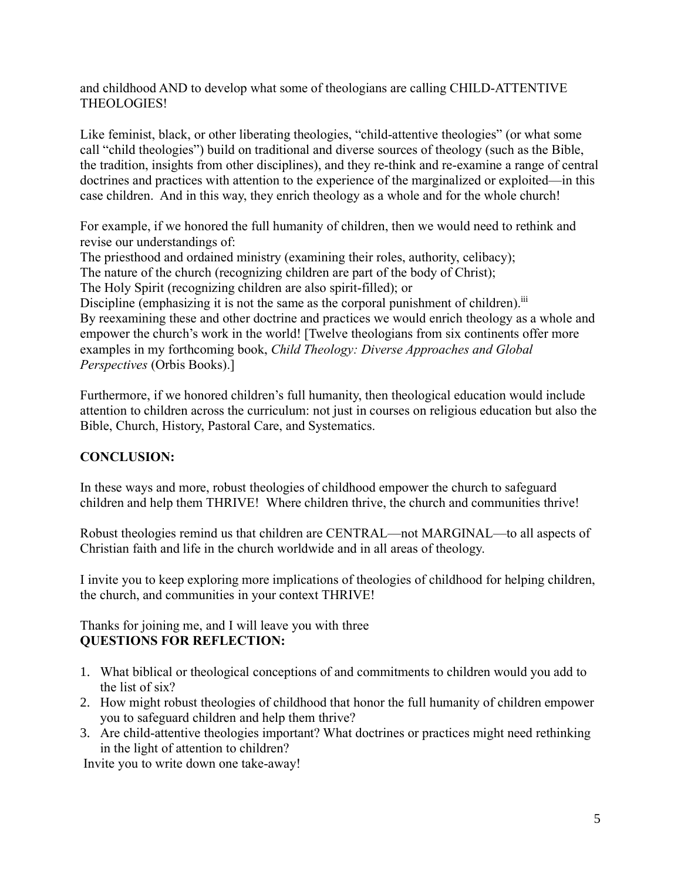and childhood AND to develop what some of theologians are calling CHILD-ATTENTIVE THEOLOGIES!

Like feminist, black, or other liberating theologies, "child-attentive theologies" (or what some call "child theologies") build on traditional and diverse sources of theology (such as the Bible, the tradition, insights from other disciplines), and they re-think and re-examine a range of central doctrines and practices with attention to the experience of the marginalized or exploited—in this case children. And in this way, they enrich theology as a whole and for the whole church!

For example, if we honored the full humanity of children, then we would need to rethink and revise our understandings of:

The priesthood and ordained ministry (examining their roles, authority, celibacy);

The nature of the church (recognizing children are part of the body of Christ);

The Holy Spirit (recognizing children are also spirit-filled); or

Discipline (emphasizing it is not the same as the corporal punishment of children).<sup>iii</sup> By reexamining these and other doctrine and practices we would enrich theology as a whole and empower the church's work in the world! [Twelve theologians from six continents offer more examples in my forthcoming book, *Child Theology: Diverse Approaches and Global Perspectives* (Orbis Books).]

Furthermore, if we honored children's full humanity, then theological education would include attention to children across the curriculum: not just in courses on religious education but also the Bible, Church, History, Pastoral Care, and Systematics.

# **CONCLUSION:**

In these ways and more, robust theologies of childhood empower the church to safeguard children and help them THRIVE! Where children thrive, the church and communities thrive!

Robust theologies remind us that children are CENTRAL—not MARGINAL—to all aspects of Christian faith and life in the church worldwide and in all areas of theology.

I invite you to keep exploring more implications of theologies of childhood for helping children, the church, and communities in your context THRIVE!

Thanks for joining me, and I will leave you with three **QUESTIONS FOR REFLECTION:**

- 1. What biblical or theological conceptions of and commitments to children would you add to the list of six?
- 2. How might robust theologies of childhood that honor the full humanity of children empower you to safeguard children and help them thrive?
- 3. Are child-attentive theologies important? What doctrines or practices might need rethinking in the light of attention to children?

Invite you to write down one take-away!